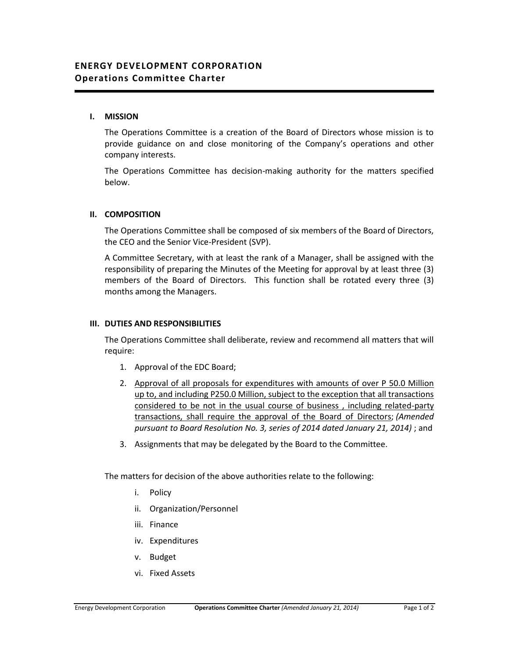### **I. MISSION**

The Operations Committee is a creation of the Board of Directors whose mission is to provide guidance on and close monitoring of the Company's operations and other company interests.

The Operations Committee has decision-making authority for the matters specified below.

#### **II. COMPOSITION**

The Operations Committee shall be composed of six members of the Board of Directors, the CEO and the Senior Vice-President (SVP).

A Committee Secretary, with at least the rank of a Manager, shall be assigned with the responsibility of preparing the Minutes of the Meeting for approval by at least three (3) members of the Board of Directors. This function shall be rotated every three (3) months among the Managers.

#### **III. DUTIES AND RESPONSIBILITIES**

The Operations Committee shall deliberate, review and recommend all matters that will require:

- 1. Approval of the EDC Board;
- 2. Approval of all proposals for expenditures with amounts of over P 50.0 Million up to, and including P250.0 Million, subject to the exception that all transactions considered to be not in the usual course of business , including related-party transactions, shall require the approval of the Board of Directors; *(Amended pursuant to Board Resolution No. 3, series of 2014 dated January 21, 2014)* ; and
- 3. Assignments that may be delegated by the Board to the Committee.

The matters for decision of the above authorities relate to the following:

- i. Policy
- ii. Organization/Personnel
- iii. Finance
- iv. Expenditures
- v. Budget
- vi. Fixed Assets